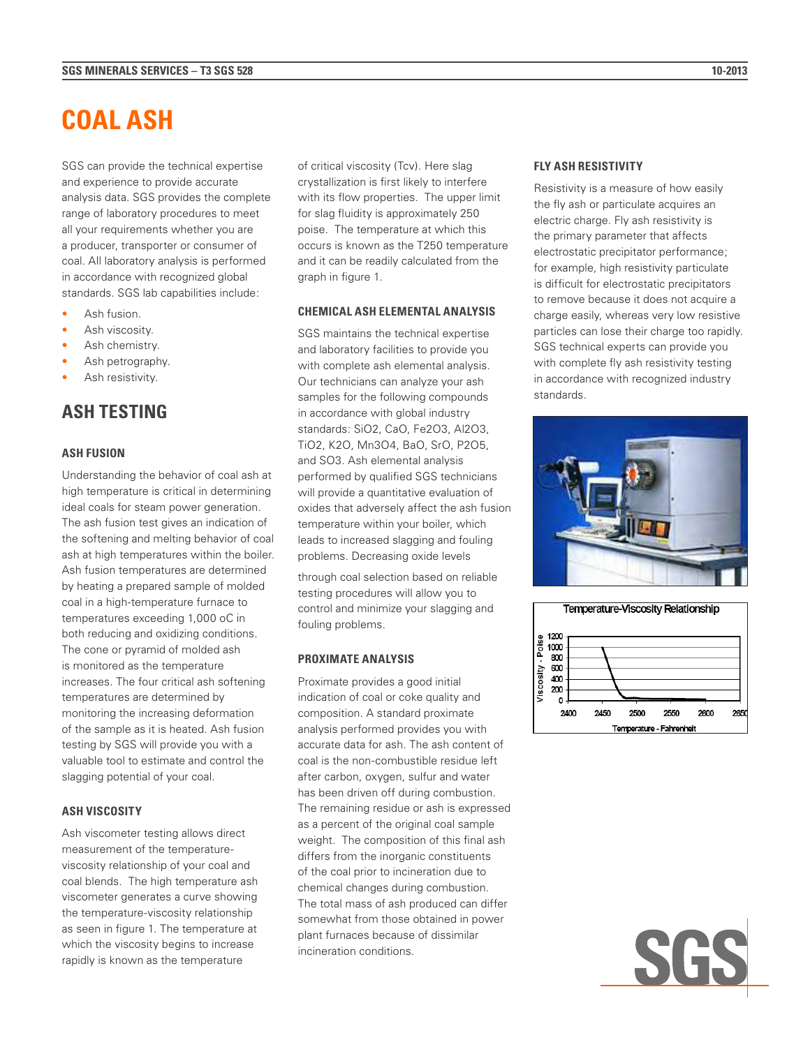# **COAL ASH**

SGS can provide the technical expertise and experience to provide accurate analysis data. SGS provides the complete range of laboratory procedures to meet all your requirements whether you are a producer, transporter or consumer of coal. All laboratory analysis is performed in accordance with recognized global standards. SGS lab capabilities include:

- Ash fusion.
- Ash viscosity.
- Ash chemistry.
- Ash petrography.
- Ash resistivity.

## **ASH TESTING**

#### **ASH FUSION**

Understanding the behavior of coal ash at high temperature is critical in determining ideal coals for steam power generation. The ash fusion test gives an indication of the softening and melting behavior of coal ash at high temperatures within the boiler. Ash fusion temperatures are determined by heating a prepared sample of molded coal in a high-temperature furnace to temperatures exceeding 1,000 oC in both reducing and oxidizing conditions. The cone or pyramid of molded ash is monitored as the temperature increases. The four critical ash softening temperatures are determined by monitoring the increasing deformation of the sample as it is heated. Ash fusion testing by SGS will provide you with a valuable tool to estimate and control the slagging potential of your coal.

#### **ASH VISCOSITY**

Ash viscometer testing allows direct measurement of the temperatureviscosity relationship of your coal and coal blends. The high temperature ash viscometer generates a curve showing the temperature-viscosity relationship as seen in figure 1. The temperature at which the viscosity begins to increase rapidly is known as the temperature

of critical viscosity (Tcv). Here slag crystallization is first likely to interfere with its flow properties. The upper limit for slag fluidity is approximately 250 poise. The temperature at which this occurs is known as the T250 temperature and it can be readily calculated from the graph in figure 1.

#### **CHEMICAL ASH ELEMENTAL ANALYSIS**

SGS maintains the technical expertise and laboratory facilities to provide you with complete ash elemental analysis. Our technicians can analyze your ash samples for the following compounds in accordance with global industry standards: SiO2, CaO, Fe2O3, Al2O3, TiO2, K2O, Mn3O4, BaO, SrO, P2O5, and SO3. Ash elemental analysis performed by qualified SGS technicians will provide a quantitative evaluation of oxides that adversely affect the ash fusion temperature within your boiler, which leads to increased slagging and fouling problems. Decreasing oxide levels

through coal selection based on reliable testing procedures will allow you to control and minimize your slagging and fouling problems.

#### **PROXIMATE ANALYSIS**

Proximate provides a good initial indication of coal or coke quality and composition. A standard proximate analysis performed provides you with accurate data for ash. The ash content of coal is the non-combustible residue left after carbon, oxygen, sulfur and water has been driven off during combustion. The remaining residue or ash is expressed as a percent of the original coal sample weight. The composition of this final ash differs from the inorganic constituents of the coal prior to incineration due to chemical changes during combustion. The total mass of ash produced can differ somewhat from those obtained in power plant furnaces because of dissimilar incineration conditions.

#### **FLY ASH RESISTIVITY**

Resistivity is a measure of how easily the fly ash or particulate acquires an electric charge. Fly ash resistivity is the primary parameter that affects electrostatic precipitator performance; for example, high resistivity particulate is difficult for electrostatic precipitators to remove because it does not acquire a charge easily, whereas very low resistive particles can lose their charge too rapidly. SGS technical experts can provide you with complete fly ash resistivity testing in accordance with recognized industry standards.